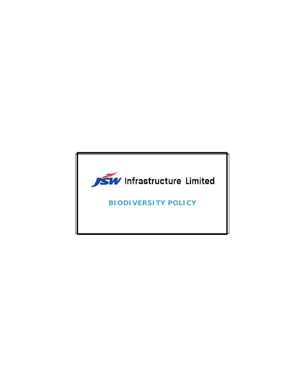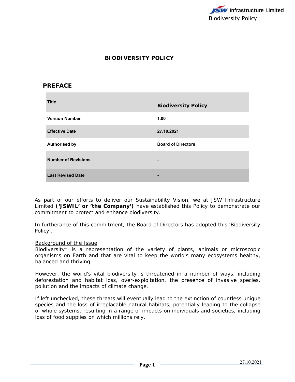

# **BIODIVERSITY POLICY**

## **PREFACE**

| <b>Title</b>               | <b>Biodiversity Policy</b> |
|----------------------------|----------------------------|
| <b>Version Number</b>      | 1.00                       |
| <b>Effective Date</b>      | 27.10.2021                 |
| <b>Authorised by</b>       | <b>Board of Directors</b>  |
| <b>Number of Revisions</b> |                            |
| <b>Last Revised Date</b>   | -                          |

As part of our efforts to deliver our Sustainability Vision, we at JSW Infrastructure Limited **('JSWIL' or 'the Company')** have established this Policy to demonstrate our commitment to protect and enhance biodiversity.

In furtherance of this commitment, the Board of Directors has adopted this 'Biodiversity Policy'.

#### Background of the Issue

Biodiversity\* is a representation of the variety of plants, animals or microscopic organisms on Earth and that are vital to keep the world's many ecosystems healthy, balanced and thriving.

However, the world's vital biodiversity is threatened in a number of ways, including deforestation and habitat loss, over-exploitation, the presence of invasive species, pollution and the impacts of climate change.

If left unchecked, these threats will eventually lead to the extinction of countless unique species and the loss of irreplacable natural habitats, potentially leading to the collapse of whole systems, resulting in a range of impacts on individuals and societies, including loss of food supplies on which millions rely.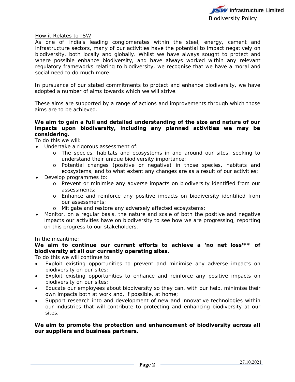

#### How it Relates to JSW

As one of India's leading conglomerates within the steel, energy, cement and infrastructure sectors, many of our activities have the potential to impact negatively on biodiversity, both locally and globally. Whilst we have always sought to protect and where possible enhance biodiversity, and have always worked within any relevant regulatory frameworks relating to biodiversity, we recognise that we have a moral and social need to do much more.

In pursuance of our stated commitments to protect and enhance biodiversity, we have adopted a number of aims towards which we will strive.

These aims are supported by a range of actions and improvements through which those aims are to be achieved.

#### **We aim to gain a full and detailed understanding of the size and nature of our impacts upon biodiversity, including any planned activities we may be considering.**

To do this we will:

- Undertake a rigorous assessment of:
	- o The species, habitats and ecosystems in and around our sites, seeking to understand their unique biodiversity importance;
	- o Potential changes (positive or negative) in those species, habitats and ecosystems, and to what extent any changes are as a result of our activities;
- Develop programmes to:
	- o Prevent or minimise any adverse impacts on biodiversity identified from our assessments;
	- o Enhance and reinforce any positive impacts on biodiversity identified from our assessments;
	- o Mitigate and restore any adversely affected ecosystems;
- Monitor, on a regular basis, the nature and scale of both the positive and negative impacts our activities have on biodiversity to see how we are progressing, reporting on this progress to our stakeholders.

In the meantime:

**We aim to continue our current efforts to achieve a 'no net loss'\*\* of biodiversity at all our currently operating sites.** 

To do this we will continue to:

- Exploit existing opportunities to prevent and minimise any adverse impacts on biodiversity on our sites;
- Exploit existing opportunities to enhance and reinforce any positive impacts on biodiversity on our sites;
- Educate our employees about biodiversity so they can, with our help, minimise their own impacts both at work and, if possible, at home;
- Support research into and development of new and innovative technologies within our industries that will contribute to protecting and enhancing biodiversity at our sites.

### **We aim to promote the protection and enhancement of biodiversity across all our suppliers and business partners.**